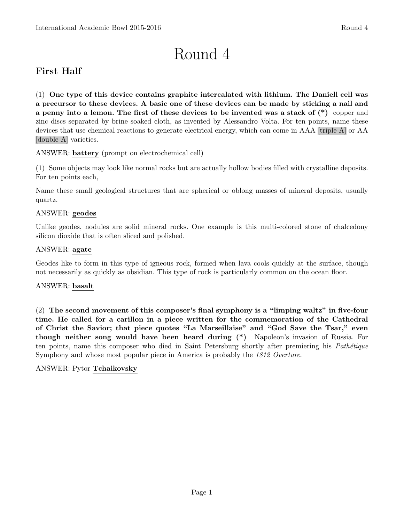# Round 4

# First Half

(1) One type of this device contains graphite intercalated with lithium. The Daniell cell was a precursor to these devices. A basic one of these devices can be made by sticking a nail and a penny into a lemon. The first of these devices to be invented was a stack of (\*) copper and zinc discs separated by brine soaked cloth, as invented by Alessandro Volta. For ten points, name these devices that use chemical reactions to generate electrical energy, which can come in AAA [triple A] or AA [double A] varieties.

ANSWER: battery (prompt on electrochemical cell)

(1) Some objects may look like normal rocks but are actually hollow bodies filled with crystalline deposits. For ten points each,

Name these small geological structures that are spherical or oblong masses of mineral deposits, usually quartz.

# ANSWER: geodes

Unlike geodes, nodules are solid mineral rocks. One example is this multi-colored stone of chalcedony silicon dioxide that is often sliced and polished.

# ANSWER: agate

Geodes like to form in this type of igneous rock, formed when lava cools quickly at the surface, though not necessarily as quickly as obsidian. This type of rock is particularly common on the ocean floor.

# ANSWER: basalt

(2) The second movement of this composer's final symphony is a "limping waltz" in five-four time. He called for a carillon in a piece written for the commemoration of the Cathedral of Christ the Savior; that piece quotes "La Marseillaise" and "God Save the Tsar," even though neither song would have been heard during (\*) Napoleon's invasion of Russia. For ten points, name this composer who died in Saint Petersburg shortly after premiering his *Pathétique* Symphony and whose most popular piece in America is probably the 1812 Overture.

# ANSWER: Pytor Tchaikovsky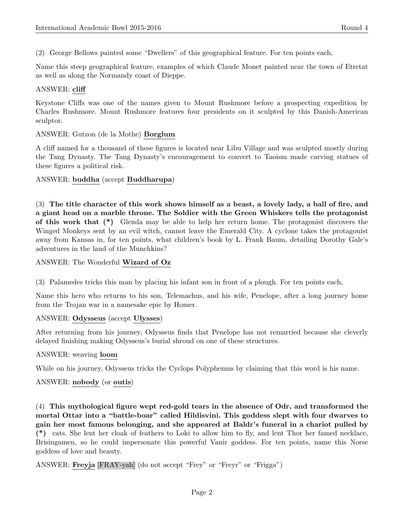(2) George Bellows painted some "Dwellers" of this geographical feature. For ten points each,

Name this steep geographical feature, examples of which Claude Monet painted near the town of Etretat as well as along the Normandy coast of Dieppe.

# ANSWER: cliff

Keystone Cliffs was one of the names given to Mount Rushmore before a prospecting expedition by Charles Rushmore. Mount Rushmore features four presidents on it sculpted by this Danish-American sculptor.

#### ANSWER: Gutzon (de la Mothe) Borglum

A cliff named for a thousand of these figures is located near Libu Village and was sculpted mostly during the Tang Dynasty. The Tang Dynasty's encouragement to convert to Taoism made carving statues of these figures a political risk.

# ANSWER: buddha (accept Buddharupa)

(3) The title character of this work shows himself as a beast, a lovely lady, a ball of fire, and a giant head on a marble throne. The Soldier with the Green Whiskers tells the protagonist of this work that (\*) Glenda may be able to help her return home. The protagonist discovers the Winged Monkeys sent by an evil witch, cannot leave the Emerald City. A cyclone takes the protagonist away from Kansas in, for ten points, what children's book by L. Frank Baum, detailing Dorothy Gale's adventures in the land of the Munchkins?

#### ANSWER: The Wonderful Wizard of Oz

(3) Palamedes tricks this man by placing his infant son in front of a plough. For ten points each,

Name this hero who returns to his son, Telemachus, and his wife, Penelope, after a long journey home from the Trojan war in a namesake epic by Homer.

#### ANSWER: Odysseus (accept Ulysses)

After returning from his journey, Odysseus finds that Penelope has not remarried because she cleverly delayed finishing making Odysseus's burial shroud on one of these structures.

#### ANSWER: weaving loom

While on his journey, Odysseus tricks the Cyclops Polyphemus by claiming that this word is his name.

# ANSWER: nobody (or outis)

(4) This mythological figure wept red-gold tears in the absence of Odr, and transformed the mortal Ottar into a "battle-boar" called Hildisvini. This goddess slept with four dwarves to gain her most famous belonging, and she appeared at Baldr's funeral in a chariot pulled by (\*) cats. She lent her cloak of feathers to Loki to allow him to fly, and lent Thor her famed necklace, Brisingamen, so he could impersonate this powerful Vanir goddess. For ten points, name this Norse goddess of love and beauty.

ANSWER: Freyja [FRAY-yah] (do not accept "Frey" or "Freyr" or "Frigga")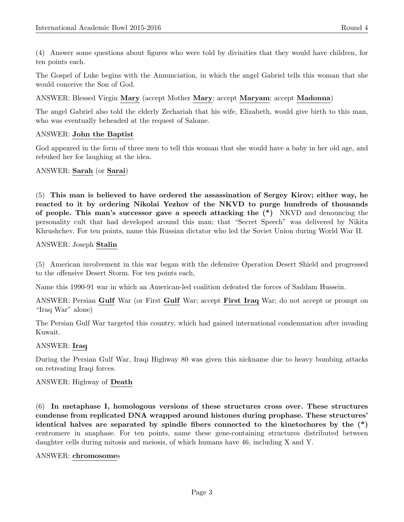(4) Answer some questions about figures who were told by divinities that they would have children, for ten points each.

The Gospel of Luke begins with the Annunciation, in which the angel Gabriel tells this woman that she would conceive the Son of God.

ANSWER: Blessed Virgin Mary (accept Mother Mary; accept Maryam; accept Madonna)

The angel Gabriel also told the elderly Zechariah that his wife, Elizabeth, would give birth to this man, who was eventually beheaded at the request of Salome.

#### ANSWER: John the Baptist

God appeared in the form of three men to tell this woman that she would have a baby in her old age, and rebuked her for laughing at the idea.

#### ANSWER: Sarah (or Sarai)

(5) This man is believed to have ordered the assassination of Sergey Kirov; either way, he reacted to it by ordering Nikolai Yezhov of the NKVD to purge hundreds of thousands of people. This man's successor gave a speech attacking the (\*) NKVD and denouncing the personality cult that had developed around this man; that "Secret Speech" was delivered by Nikita Khrushchev. For ten points, name this Russian dictator who led the Soviet Union during World War II.

#### ANSWER: Joseph Stalin

(5) American involvement in this war began with the defensive Operation Desert Shield and progressed to the offensive Desert Storm. For ten points each,

Name this 1990-91 war in which an American-led coalition defeated the forces of Saddam Hussein.

ANSWER: Persian Gulf War (or First Gulf War; accept First Iraq War; do not accept or prompt on "Iraq War" alone)

The Persian Gulf War targeted this country, which had gained international condemnation after invading Kuwait.

#### ANSWER: Iraq

During the Persian Gulf War, Iraqi Highway 80 was given this nickname due to heavy bombing attacks on retreating Iraqi forces.

# ANSWER: Highway of Death

(6) In metaphase I, homologous versions of these structures cross over. These structures condense from replicated DNA wrapped around histones during prophase. These structures' identical halves are separated by spindle fibers connected to the kinetochores by the (\*) centromere in anaphase. For ten points, name these gene-containing structures distributed between daughter cells during mitosis and meiosis, of which humans have 46, including X and Y.

#### ANSWER: chromosomes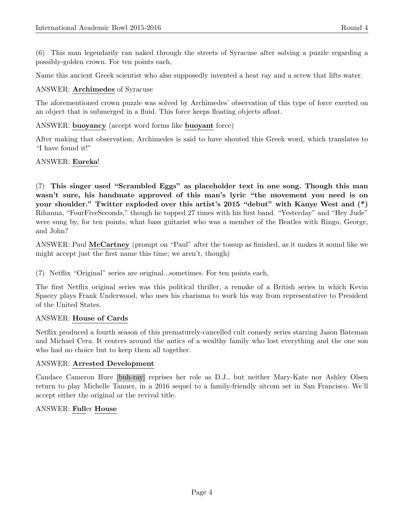(6) This man legendarily ran naked through the streets of Syracuse after solving a puzzle regarding a possibly-golden crown. For ten points each,

Name this ancient Greek scientist who also supposedly invented a heat ray and a screw that lifts water.

# ANSWER: Archimedes of Syracuse

The aforementioned crown puzzle was solved by Archimedes' observation of this type of force exerted on an object that is submerged in a fluid. This force keeps floating objects afloat.

# ANSWER: buoyancy (accept word forms like buoyant force)

After making that observation, Archimedes is said to have shouted this Greek word, which translates to "I have found it!"

# ANSWER: Eureka!

(7) This singer used "Scrambled Eggs" as placeholder text in one song. Though this man wasn't sure, his bandmate approved of this man's lyric "the movement you need is on your shoulder." Twitter exploded over this artist's 2015 "debut" with Kanye West and (\*) Rihanna, "FourFiveSeconds," though he topped 27 times with his first band. "Yesterday" and "Hey Jude" were sung by, for ten points, what bass guitarist who was a member of the Beatles with Ringo, George, and John?

ANSWER: Paul McCartney (prompt on "Paul" after the tossup as finished, as it makes it sound like we might accept just the first name this time; we aren't, though)

(7) Netflix "Original" series are original...sometimes. For ten points each,

The first Netflix original series was this political thriller, a remake of a British series in which Kevin Spacey plays Frank Underwood, who uses his charisma to work his way from representative to President of the United States.

# ANSWER: House of Cards

Netflix produced a fourth season of this prematurely-cancelled cult comedy series starring Jason Bateman and Michael Cera. It centers around the antics of a wealthy family who lost everything and the one son who had no choice but to keep them all together.

# ANSWER: Arrested Development

Candace Cameron Bure [buh-ray] reprises her role as D.J., but neither Mary-Kate nor Ashley Olsen return to play Michelle Tanner, in a 2016 sequel to a family-friendly sitcom set in San Francisco. We'll accept either the original or the revival title.

# ANSWER: Fuller House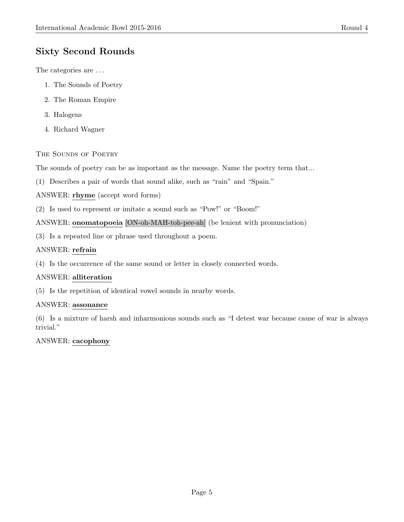# Sixty Second Rounds

The categories are . . .

- 1. The Sounds of Poetry
- 2. The Roman Empire
- 3. Halogens
- 4. Richard Wagner

# THE SOUNDS OF POETRY

The sounds of poetry can be as important as the message. Name the poetry term that...

(1) Describes a pair of words that sound alike, such as "rain" and "Spain."

ANSWER: rhyme (accept word forms)

(2) Is used to represent or imitate a sound such as "Pow!" or "Boom!"

# ANSWER: onomatopoeia [ON-oh-MAH-toh-pee-ah] (be lenient with pronunciation)

(3) Is a repeated line or phrase used throughout a poem.

# ANSWER: refrain

(4) Is the occurrence of the same sound or letter in closely connected words.

# ANSWER: alliteration

(5) Is the repetition of identical vowel sounds in nearby words.

# ANSWER: assonance

(6) Is a mixture of harsh and inharmonious sounds such as "I detest war because cause of war is always trivial."

# ANSWER: cacophony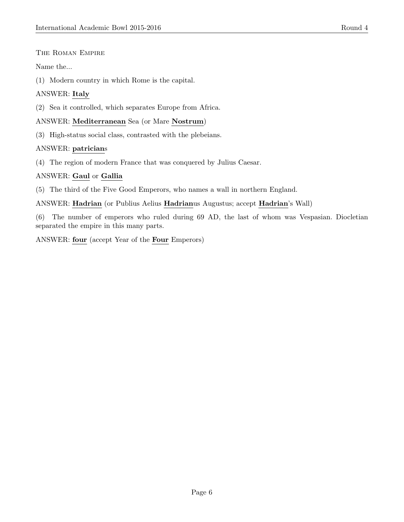#### The Roman Empire

Name the...

(1) Modern country in which Rome is the capital.

# ANSWER: Italy

(2) Sea it controlled, which separates Europe from Africa.

#### ANSWER: Mediterranean Sea (or Mare Nostrum)

(3) High-status social class, contrasted with the plebeians.

# ANSWER: patricians

(4) The region of modern France that was conquered by Julius Caesar.

# ANSWER: Gaul or Gallia

(5) The third of the Five Good Emperors, who names a wall in northern England.

ANSWER: Hadrian (or Publius Aelius Hadrianus Augustus; accept Hadrian's Wall)

(6) The number of emperors who ruled during 69 AD, the last of whom was Vespasian. Diocletian separated the empire in this many parts.

ANSWER: four (accept Year of the Four Emperors)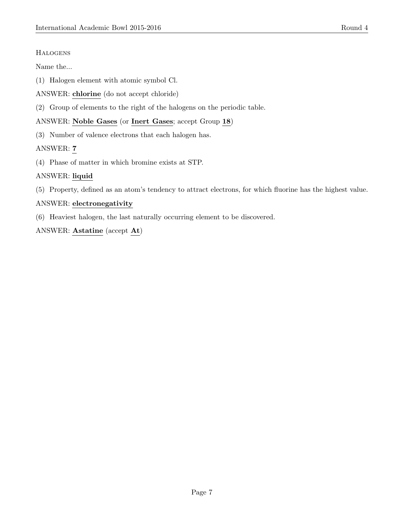# **HALOGENS**

Name the...

- (1) Halogen element with atomic symbol Cl.
- ANSWER: chlorine (do not accept chloride)
- (2) Group of elements to the right of the halogens on the periodic table.

# ANSWER: Noble Gases (or Inert Gases; accept Group 18)

(3) Number of valence electrons that each halogen has.

# ANSWER: 7

(4) Phase of matter in which bromine exists at STP.

# ANSWER: liquid

(5) Property, defined as an atom's tendency to attract electrons, for which fluorine has the highest value.

# ANSWER: electronegativity

(6) Heaviest halogen, the last naturally occurring element to be discovered.

ANSWER: Astatine (accept At)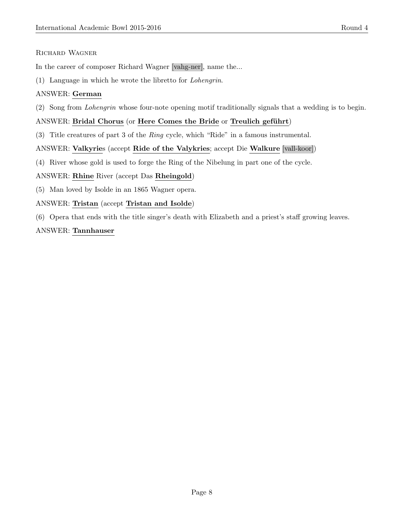# Richard Wagner

In the career of composer Richard Wagner [vahg-ner], name the...

(1) Language in which he wrote the libretto for Lohengrin.

# ANSWER: German

(2) Song from Lohengrin whose four-note opening motif traditionally signals that a wedding is to begin.

# ANSWER: Bridal Chorus (or Here Comes the Bride or Treulich geführt)

(3) Title creatures of part 3 of the Ring cycle, which "Ride" in a famous instrumental.

# ANSWER: Valkyries (accept Ride of the Valykries; accept Die Walkure [vall-koor])

(4) River whose gold is used to forge the Ring of the Nibelung in part one of the cycle.

# ANSWER: Rhine River (accept Das Rheingold)

(5) Man loved by Isolde in an 1865 Wagner opera.

# ANSWER: Tristan (accept Tristan and Isolde)

(6) Opera that ends with the title singer's death with Elizabeth and a priest's staff growing leaves.

# ANSWER: Tannhauser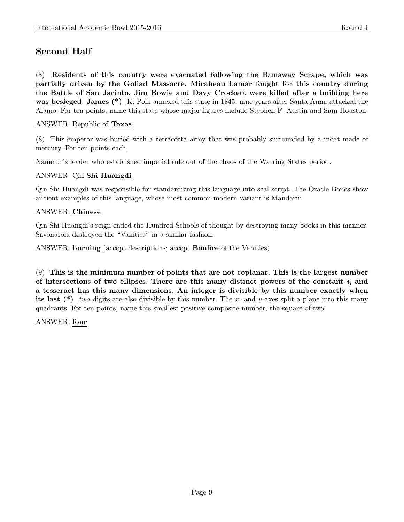# Second Half

(8) Residents of this country were evacuated following the Runaway Scrape, which was partially driven by the Goliad Massacre. Mirabeau Lamar fought for this country during the Battle of San Jacinto. Jim Bowie and Davy Crockett were killed after a building here was besieged. James (\*) K. Polk annexed this state in 1845, nine years after Santa Anna attacked the Alamo. For ten points, name this state whose major figures include Stephen F. Austin and Sam Houston.

# ANSWER: Republic of Texas

(8) This emperor was buried with a terracotta army that was probably surrounded by a moat made of mercury. For ten points each,

Name this leader who established imperial rule out of the chaos of the Warring States period.

# ANSWER: Qin Shi Huangdi

Qin Shi Huangdi was responsible for standardizing this language into seal script. The Oracle Bones show ancient examples of this language, whose most common modern variant is Mandarin.

#### ANSWER: Chinese

Qin Shi Huangdi's reign ended the Hundred Schools of thought by destroying many books in this manner. Savonarola destroyed the "Vanities" in a similar fashion.

ANSWER: burning (accept descriptions; accept Bonfire of the Vanities)

(9) This is the minimum number of points that are not coplanar. This is the largest number of intersections of two ellipses. There are this many distinct powers of the constant  $i$ , and a tesseract has this many dimensions. An integer is divisible by this number exactly when its last  $(*)$  two digits are also divisible by this number. The x- and y-axes split a plane into this many quadrants. For ten points, name this smallest positive composite number, the square of two.

ANSWER: four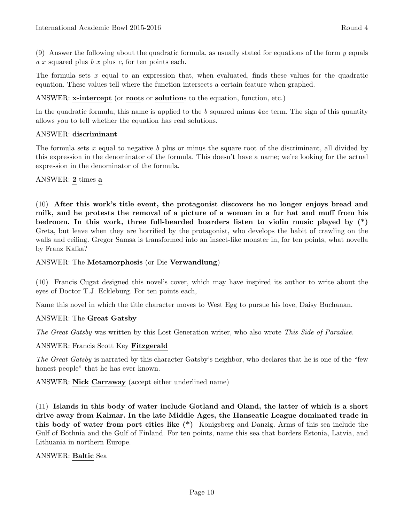$(9)$  Answer the following about the quadratic formula, as usually stated for equations of the form y equals  $a x$  squared plus  $b x$  plus  $c$ , for ten points each.

The formula sets  $x$  equal to an expression that, when evaluated, finds these values for the quadratic equation. These values tell where the function intersects a certain feature when graphed.

ANSWER: x-intercept (or roots or solutions to the equation, function, etc.)

In the quadratic formula, this name is applied to the b squared minus  $4ac$  term. The sign of this quantity allows you to tell whether the equation has real solutions.

#### ANSWER: discriminant

The formula sets  $x$  equal to negative  $b$  plus or minus the square root of the discriminant, all divided by this expression in the denominator of the formula. This doesn't have a name; we're looking for the actual expression in the denominator of the formula.

#### ANSWER: 2 times a

(10) After this work's title event, the protagonist discovers he no longer enjoys bread and milk, and he protests the removal of a picture of a woman in a fur hat and muff from his bedroom. In this work, three full-bearded boarders listen to violin music played by (\*) Greta, but leave when they are horrified by the protagonist, who develops the habit of crawling on the walls and ceiling. Gregor Samsa is transformed into an insect-like monster in, for ten points, what novella by Franz Kafka?

#### ANSWER: The Metamorphosis (or Die Verwandlung)

(10) Francis Cugat designed this novel's cover, which may have inspired its author to write about the eyes of Doctor T.J. Eckleburg. For ten points each,

Name this novel in which the title character moves to West Egg to pursue his love, Daisy Buchanan.

#### ANSWER: The Great Gatsby

The Great Gatsby was written by this Lost Generation writer, who also wrote This Side of Paradise.

#### ANSWER: Francis Scott Key Fitzgerald

The Great Gatsby is narrated by this character Gatsby's neighbor, who declares that he is one of the "few honest people" that he has ever known.

ANSWER: Nick Carraway (accept either underlined name)

(11) Islands in this body of water include Gotland and Oland, the latter of which is a short drive away from Kalmar. In the late Middle Ages, the Hanseatic League dominated trade in this body of water from port cities like (\*) Konigsberg and Danzig. Arms of this sea include the Gulf of Bothnia and the Gulf of Finland. For ten points, name this sea that borders Estonia, Latvia, and Lithuania in northern Europe.

#### ANSWER: Baltic Sea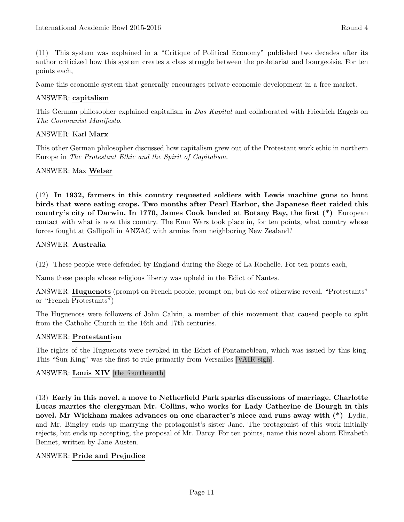(11) This system was explained in a "Critique of Political Economy" published two decades after its author criticized how this system creates a class struggle between the proletariat and bourgeoisie. For ten points each,

Name this economic system that generally encourages private economic development in a free market.

#### ANSWER: capitalism

This German philosopher explained capitalism in Das Kapital and collaborated with Friedrich Engels on The Communist Manifesto.

#### ANSWER: Karl Marx

This other German philosopher discussed how capitalism grew out of the Protestant work ethic in northern Europe in The Protestant Ethic and the Spirit of Capitalism.

#### ANSWER: Max Weber

(12) In 1932, farmers in this country requested soldiers with Lewis machine guns to hunt birds that were eating crops. Two months after Pearl Harbor, the Japanese fleet raided this country's city of Darwin. In 1770, James Cook landed at Botany Bay, the first (\*) European contact with what is now this country. The Emu Wars took place in, for ten points, what country whose forces fought at Gallipoli in ANZAC with armies from neighboring New Zealand?

#### ANSWER: Australia

(12) These people were defended by England during the Siege of La Rochelle. For ten points each,

Name these people whose religious liberty was upheld in the Edict of Nantes.

ANSWER: **Huguenots** (prompt on French people; prompt on, but do not otherwise reveal, "Protestants" or "French Protestants")

The Huguenots were followers of John Calvin, a member of this movement that caused people to split from the Catholic Church in the 16th and 17th centuries.

#### ANSWER: Protestantism

The rights of the Huguenots were revoked in the Edict of Fontainebleau, which was issued by this king. This "Sun King" was the first to rule primarily from Versailles [VAIR-sigh].

# ANSWER: Louis XIV [the fourtheenth]

(13) Early in this novel, a move to Netherfield Park sparks discussions of marriage. Charlotte Lucas marries the clergyman Mr. Collins, who works for Lady Catherine de Bourgh in this novel. Mr Wickham makes advances on one character's niece and runs away with (\*) Lydia, and Mr. Bingley ends up marrying the protagonist's sister Jane. The protagonist of this work initially rejects, but ends up accepting, the proposal of Mr. Darcy. For ten points, name this novel about Elizabeth Bennet, written by Jane Austen.

#### ANSWER: Pride and Prejudice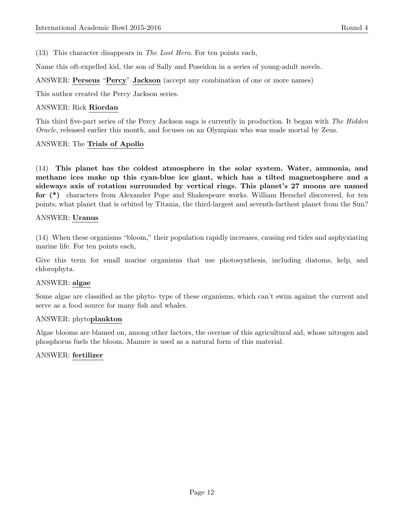(13) This character disappears in The Lost Hero. For ten points each,

Name this oft-expelled kid, the son of Sally and Poseidon in a series of young-adult novels.

ANSWER: Perseus "Percy" Jackson (accept any combination of one or more names)

This author created the Percy Jackson series.

#### ANSWER: Rick Riordan

This third five-part series of the Percy Jackson saga is currently in production. It began with The Hidden Oracle, released earlier this month, and focuses on an Olympian who was made mortal by Zeus.

# ANSWER: The Trials of Apollo

(14) This planet has the coldest atmosphere in the solar system. Water, ammonia, and methane ices make up this cyan-blue ice giant, which has a tilted magnetosphere and a sideways axis of rotation surrounded by vertical rings. This planet's 27 moons are named for (\*) characters from Alexander Pope and Shakespeare works. William Herschel discovered, for ten points, what planet that is orbited by Titania, the third-largest and seventh-farthest planet from the Sun?

#### ANSWER: Uranus

(14) When these organisms "bloom," their population rapidly increases, causing red tides and asphyxiating marine life. For ten points each,

Give this term for small marine organisms that use photosynthesis, including diatoms, kelp, and chlorophyta.

# ANSWER: algae

Some algae are classified as the phyto- type of these organisms, which can't swim against the current and serve as a food source for many fish and whales.

#### ANSWER: phytoplankton

Algae blooms are blamed on, among other factors, the overuse of this agricultural aid, whose nitrogen and phosphorus fuels the bloom. Manure is used as a natural form of this material.

# ANSWER: fertilizer